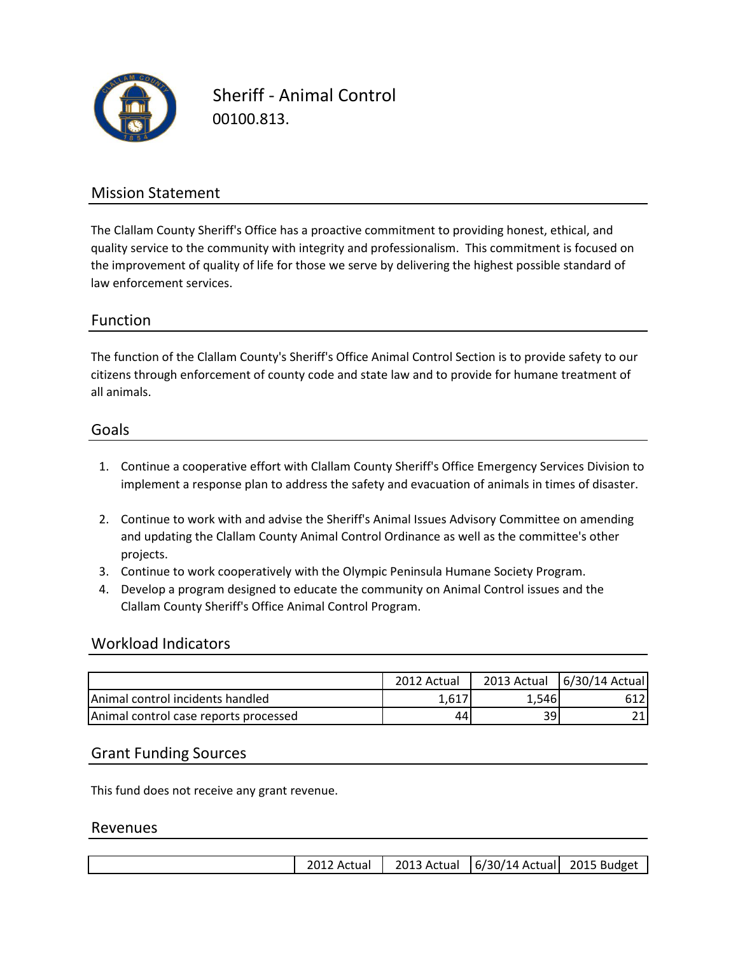

Sheriff - Animal Control 00100.813.

## Mission Statement

The Clallam County Sheriff's Office has a proactive commitment to providing honest, ethical, and quality service to the community with integrity and professionalism. This commitment is focused on the improvement of quality of life for those we serve by delivering the highest possible standard of law enforcement services.

### Function

all animals. citizens through enforcement of county code and state law and to provide for humane treatment of The function of the Clallam County's Sheriff's Office Animal Control Section is to provide safety to our

#### Goals

- 1. Continue a cooperative effort with Clallam County Sheriff's Office Emergency Services Division to implement a response plan to address the safety and evacuation of animals in times of disaster.
- 2. Continue to work with and advise the Sheriff's Animal Issues Advisory Committee on amending and updating the Clallam County Animal Control Ordinance as well as the committee's other projects.
- 3. Continue to work cooperatively with the Olympic Peninsula Humane Society Program.
- 4. Develop a program designed to educate the community on Animal Control issues and the Clallam County Sheriff's Office Animal Control Program.

#### Workload Indicators

|                                       | 2012 Actual | 2013 Actual | 6/30/14 Actual |
|---------------------------------------|-------------|-------------|----------------|
| Animal control incidents handled      | 1.617       | .546        |                |
| Animal control case reports processed | 44          | 39I         |                |

#### Grant Funding Sources

This fund does not receive any grant revenue.

#### Revenues

|  |  | 2012 Actual |  | 2013 Actual   6/30/14 Actual   2015 Budget |  |
|--|--|-------------|--|--------------------------------------------|--|
|--|--|-------------|--|--------------------------------------------|--|